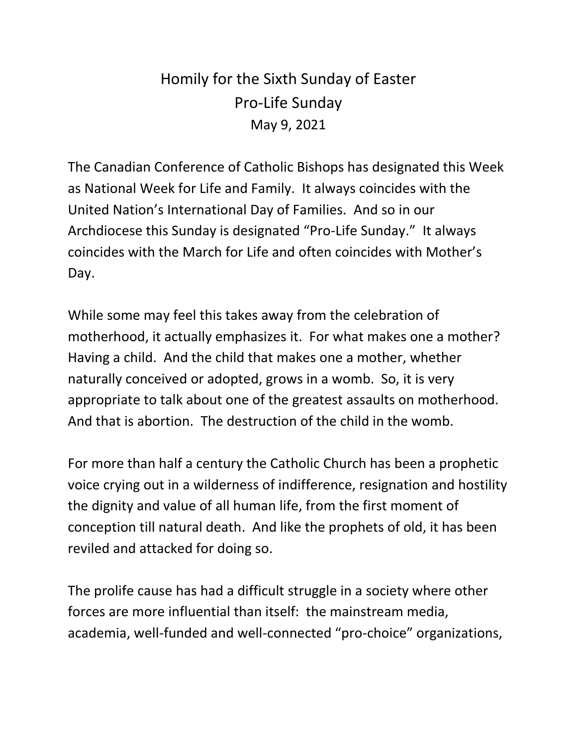## Homily for the Sixth Sunday of Easter Pro-Life Sunday May 9, 2021

The Canadian Conference of Catholic Bishops has designated this Week as National Week for Life and Family. It always coincides with the United Nation's International Day of Families. And so in our Archdiocese this Sunday is designated "Pro-Life Sunday." It always coincides with the March for Life and often coincides with Mother's Day.

While some may feel this takes away from the celebration of motherhood, it actually emphasizes it. For what makes one a mother? Having a child. And the child that makes one a mother, whether naturally conceived or adopted, grows in a womb. So, it is very appropriate to talk about one of the greatest assaults on motherhood. And that is abortion. The destruction of the child in the womb.

For more than half a century the Catholic Church has been a prophetic voice crying out in a wilderness of indifference, resignation and hostility the dignity and value of all human life, from the first moment of conception till natural death. And like the prophets of old, it has been reviled and attacked for doing so.

The prolife cause has had a difficult struggle in a society where other forces are more influential than itself: the mainstream media, academia, well-funded and well-connected "pro-choice" organizations,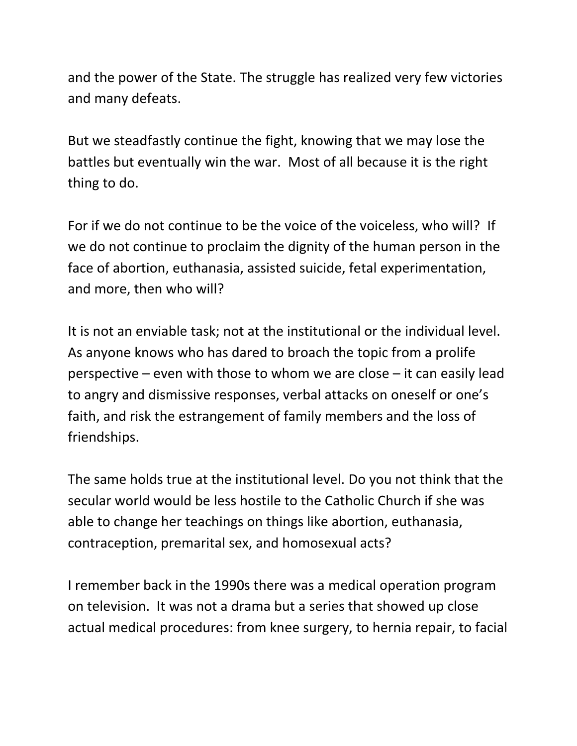and the power of the State. The struggle has realized very few victories and many defeats.

But we steadfastly continue the fight, knowing that we may lose the battles but eventually win the war. Most of all because it is the right thing to do.

For if we do not continue to be the voice of the voiceless, who will? If we do not continue to proclaim the dignity of the human person in the face of abortion, euthanasia, assisted suicide, fetal experimentation, and more, then who will?

It is not an enviable task; not at the institutional or the individual level. As anyone knows who has dared to broach the topic from a prolife perspective – even with those to whom we are close – it can easily lead to angry and dismissive responses, verbal attacks on oneself or one's faith, and risk the estrangement of family members and the loss of friendships.

The same holds true at the institutional level. Do you not think that the secular world would be less hostile to the Catholic Church if she was able to change her teachings on things like abortion, euthanasia, contraception, premarital sex, and homosexual acts?

I remember back in the 1990s there was a medical operation program on television. It was not a drama but a series that showed up close actual medical procedures: from knee surgery, to hernia repair, to facial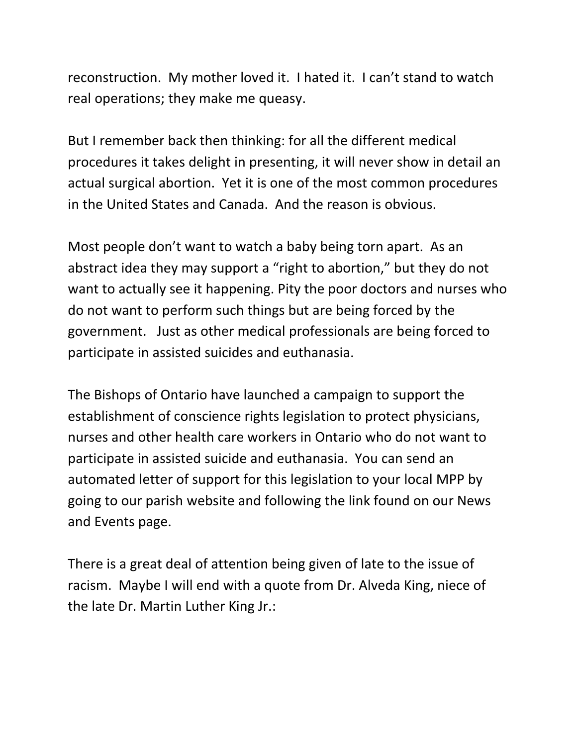reconstruction. My mother loved it. I hated it. I can't stand to watch real operations; they make me queasy.

But I remember back then thinking: for all the different medical procedures it takes delight in presenting, it will never show in detail an actual surgical abortion. Yet it is one of the most common procedures in the United States and Canada. And the reason is obvious.

Most people don't want to watch a baby being torn apart. As an abstract idea they may support a "right to abortion," but they do not want to actually see it happening. Pity the poor doctors and nurses who do not want to perform such things but are being forced by the government. Just as other medical professionals are being forced to participate in assisted suicides and euthanasia.

The Bishops of Ontario have launched a campaign to support the establishment of conscience rights legislation to protect physicians, nurses and other health care workers in Ontario who do not want to participate in assisted suicide and euthanasia. You can send an automated letter of support for this legislation to your local MPP by going to our parish website and following the link found on our News and Events page.

There is a great deal of attention being given of late to the issue of racism. Maybe I will end with a quote from Dr. Alveda King, niece of the late Dr. Martin Luther King Jr.: